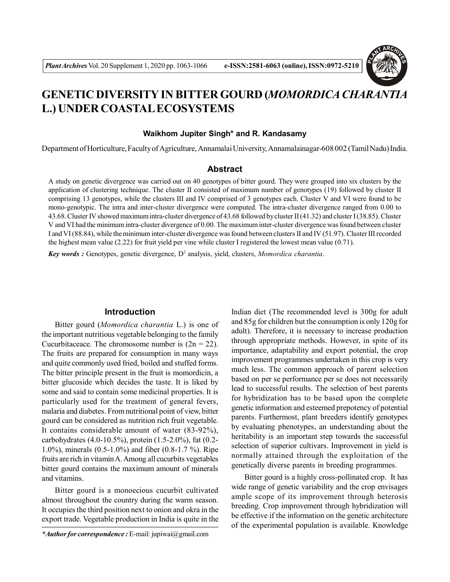

# **GENETIC DIVERSITY IN BITTER GOURD (***MOMORDICA CHARANTIA* **L.) UNDER COASTAL ECOSYSTEMS**

#### **Waikhom Jupiter Singh\* and R. Kandasamy**

Department of Horticulture, Faculty of Agriculture, Annamalai University, Annamalainagar-608 002 (TamilNadu)India.

## **Abstract**

A study on genetic divergence was carried out on 40 genotypes of bitter gourd. They were grouped into six clusters by the application of clustering technique. The cluster II consisted of maximum number of genotypes (19) followed by cluster II comprising 13 genotypes, while the clusters III and IV comprised of 3 genotypes each. Cluster V and VI were found to be mono-genotypic. The intra and inter-cluster divergence were computed. The intra-cluster divergence ranged from 0.00 to 43.68. Cluster IV showed maximum intra-cluster divergence of 43.68 followed by cluster II (41.32) and cluster I (38.85). Cluster V and VI had the minimum intra-cluster divergence of 0.00. The maximum inter-cluster divergence was found between cluster I and VI (88.84), while the minimum inter-cluster divergence was found between clusters II and IV (51.97). Cluster III recorded the highest mean value (2.22) for fruit yield per vine while cluster I registered the lowest mean value (0.71).

**Key words :** Genotypes, genetic divergence, D<sup>2</sup> analysis, yield, clusters, *Momordica charantia*.

## **Introduction**

Bitter gourd (*Momordica charantia* L.) is one of the important nutritious vegetable belonging to the family Cucurbitaceace. The chromosome number is  $(2n = 22)$ . The fruits are prepared for consumption in many ways and quite commonly used fried, boiled and stuffed forms. The bitter principle present in the fruit is momordicin, a bitter glucoside which decides the taste. It is liked by some and said to contain some medicinal properties. It is particularly used for the treatment of general fevers, malaria and diabetes. From nutritional point of view, bitter gourd can be considered as nutrition rich fruit vegetable. It contains considerable amount of water (83-92%), carbohydrates (4.0-10.5%), protein (1.5-2.0%), fat (0.2- 1.0%), minerals (0.5-1.0%) and fiber (0.8-1.7 %). Ripe fruits are rich in vitamin A. Among all cucurbits vegetables bitter gourd contains the maximum amount of minerals and vitamins.

Bitter gourd is a monoecious cucurbit cultivated almost throughout the country during the warm season. It occupies the third position next to onion and okra in the export trade. Vegetable production in India is quite in the

*\*Author for correspondence :* E-mail: jupiwai@gmail.com

Indian diet (The recommended level is 300g for adult and 85g for children but the consumption is only 120g for adult). Therefore, it is necessary to increase production through appropriate methods. However, in spite of its importance, adaptability and export potential, the crop improvement programmes undertaken in this crop is very much less. The common approach of parent selection based on per se performance per se does not necessarily lead to successful results. The selection of best parents for hybridization has to be based upon the complete genetic information and esteemed prepotency of potential parents. Furthermost, plant breeders identify genotypes by evaluating phenotypes, an understanding about the heritability is an important step towards the successful selection of superior cultivars. Improvement in yield is normally attained through the exploitation of the genetically diverse parents in breeding programmes.

Bitter gourd is a highly cross-pollinated crop. It has wide range of genetic variability and the crop envisages ample scope of its improvement through heterosis breeding. Crop improvement through hybridization will be effective if the information on the genetic architecture of the experimental population is available. Knowledge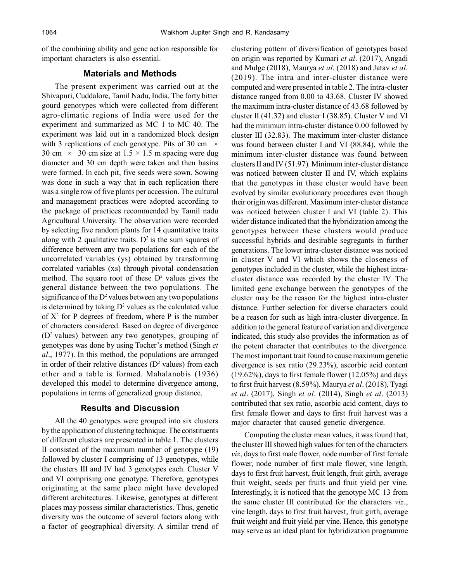of the combining ability and gene action responsible for important characters is also essential.

#### **Materials and Methods**

The present experiment was carried out at the Shivapuri, Cuddalore, Tamil Nadu, India. The forty bitter gourd genotypes which were collected from different agro-climatic regions of India were used for the experiment and summarized as MC 1 to MC 40. The experiment was laid out in a randomized block design with 3 replications of each genotype. Pits of 30 cm  $\times$ 30 cm  $\times$  30 cm size at 1.5  $\times$  1.5 m spacing were dug diameter and 30 cm depth were taken and then basins were formed. In each pit, five seeds were sown. Sowing was done in such a way that in each replication there was a single row of five plants per accession. The cultural and management practices were adopted according to the package of practices recommended by Tamil nadu Agricultural University. The observation were recorded by selecting five random plants for 14 quantitative traits along with 2 qualitative traits.  $D^2$  is the sum squares of difference between any two populations for each of the uncorrelated variables (ys) obtained by transforming correlated variables (xs) through pivotal condensation method. The square root of these  $D^2$  values gives the general distance between the two populations. The significance of the  $D^2$  values between any two populations is determined by taking  $D^2$  values as the calculated value of  $X^2$  for P degrees of freedom, where P is the number of characters considered. Based on degree of divergence  $(D^2 \text{ values})$  between any two genotypes, grouping of genotypes was done by using Tocher's method (Singh *et al*., 1977). In this method, the populations are arranged in order of their relative distances  $(D^2 \text{ values})$  from each other and a table is formed. Mahalanobis (1936) developed this model to determine divergence among, populations in terms of generalized group distance.

# **Results and Discussion**

All the 40 genotypes were grouped into six clusters by the application of clustering technique. The constituents of different clusters are presented in table 1. The clusters II consisted of the maximum number of genotype (19) followed by cluster I comprising of 13 genotypes, while the clusters III and IV had 3 genotypes each. Cluster V and VI comprising one genotype. Therefore, genotypes originating at the same place might have developed different architectures. Likewise, genotypes at different places may possess similar characteristics. Thus, genetic diversity was the outcome of several factors along with a factor of geographical diversity. A similar trend of clustering pattern of diversification of genotypes based on origin was reported by Kumari *et al*. (2017), Angadi and Mulge (2018), Maurya *et al*. (2018) and Jatav *et al*. (2019). The intra and inter-cluster distance were computed and were presented in table 2. The intra-cluster distance ranged from 0.00 to 43.68. Cluster IV showed the maximum intra-cluster distance of 43.68 followed by cluster II (41.32) and cluster I (38.85). Cluster V and VI had the minimum intra-cluster distance 0.00 followed by cluster III (32.83). The maximum inter-cluster distance was found between cluster I and VI (88.84), while the minimum inter-cluster distance was found between clusters II and IV (51.97). Minimum inter-cluster distance was noticed between cluster II and IV, which explains that the genotypes in these cluster would have been evolved by similar evolutionary procedures even though their origin was different. Maximum inter-cluster distance was noticed between cluster I and VI (table 2). This wider distance indicated that the hybridization among the genotypes between these clusters would produce successful hybrids and desirable segregants in further generations. The lower intra-cluster distance was noticed in cluster V and VI which shows the closeness of genotypes included in the cluster, while the highest intracluster distance was recorded by the cluster IV. The limited gene exchange between the genotypes of the cluster may be the reason for the highest intra-cluster distance. Further selection for diverse characters could be a reason for such as high intra-cluster divergence. In addition to the general feature of variation and divergence indicated, this study also provides the information as of the potent character that contributes to the divergence. The most important trait found to cause maximum genetic divergence is sex ratio (29.23%), ascorbic acid content (19.62%), days to first female flower (12.05%) and days to first fruit harvest (8.59%). Maurya *et al*. (2018), Tyagi *et al*. (2017), Singh *et al*. (2014), Singh *et al*. (2013) contributed that sex ratio, ascorbic acid content, days to first female flower and days to first fruit harvest was a major character that caused genetic divergence.

Computing the cluster mean values, it was found that, the cluster III showed high values for ten of the characters *viz*, days to first male flower, node number of first female flower, node number of first male flower, vine length, days to first fruit harvest, fruit length, fruit girth, average fruit weight, seeds per fruits and fruit yield per vine. Interestingly, it is noticed that the genotype MC 13 from the same cluster III contributed for the characters *viz*., vine length, days to first fruit harvest, fruit girth, average fruit weight and fruit yield per vine. Hence, this genotype may serve as an ideal plant for hybridization programme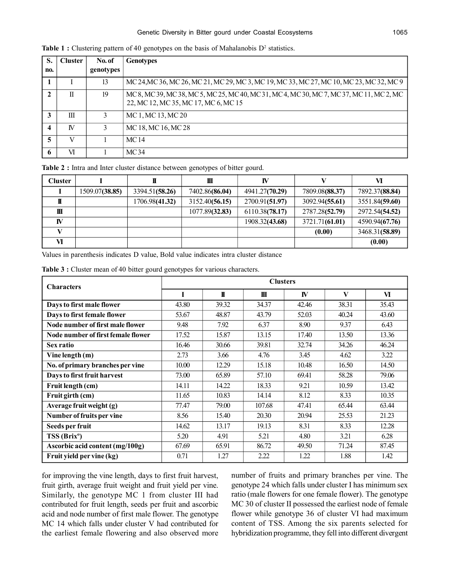| S.  | <b>Cluster</b> | No. of    | <b>Genotypes</b>                                                                                                                 |
|-----|----------------|-----------|----------------------------------------------------------------------------------------------------------------------------------|
| no. |                | genotypes |                                                                                                                                  |
|     |                | 13        | MC 24, MC 36, MC 26, MC 21, MC 29, MC 3, MC 19, MC 33, MC 27, MC 10, MC 23, MC 32, MC 9                                          |
| 2   | П              | 19        | MC 8, MC 39, MC 38, MC 5, MC 25, MC 40, MC 31, MC 4, MC 30, MC 7, MC 37, MC 11, MC 2, MC<br>22, MC 12, MC 35, MC 17, MC 6, MC 15 |
| 3   | Ш              |           | MC 1, MC 13, MC 20                                                                                                               |
| 4   | <b>IV</b>      |           | MC 18, MC 16, MC 28                                                                                                              |
| 5   | V              |           | MC 14                                                                                                                            |
| 6   | VI             |           | MC34                                                                                                                             |

Table 1 : Clustering pattern of 40 genotypes on the basis of Mahalanobis D<sup>2</sup> statistics.

**Table 2 :** Intra and Inter cluster distance between genotypes of bitter gourd.

| <b>Cluster</b> |                |                | Ш              | IV             |                |                |  |
|----------------|----------------|----------------|----------------|----------------|----------------|----------------|--|
|                | 1509.07(38.85) | 3394.51(58.26) | 7402.86(86.04) | 4941.27(70.29) | 7809.08(88.37) | 7892.37(88.84) |  |
|                |                | 1706.98(41.32) | 3152.40(56.15) | 2700.91(51.97) | 3092.94(55.61) | 3551.84(59.60) |  |
| Ш              |                |                | 1077.89(32.83) | 6110.38(78.17) | 2787.28(52.79) | 2972.54(54.52) |  |
| IV             |                |                |                | 1908.32(43.68) | 3721.71(61.01) | 4590.94(67.76) |  |
|                |                |                |                |                | (0.00)         | 3468.31(58.89) |  |
| VI             |                |                |                |                |                | (0.00)         |  |

Values in parenthesis indicates D value, Bold value indicates intra cluster distance

| <b>Characters</b>                  | <b>Clusters</b> |              |              |           |       |       |  |  |
|------------------------------------|-----------------|--------------|--------------|-----------|-------|-------|--|--|
|                                    | I               | $\mathbf{I}$ | $\mathbf{m}$ | <b>IV</b> | V     | VI    |  |  |
| Days to first male flower          | 43.80           | 39.32        | 34.37        | 42.46     | 38.31 | 35.43 |  |  |
| Days to first female flower        | 53.67           | 48.87        | 43.79        | 52.03     | 40.24 | 43.60 |  |  |
| Node number of first male flower   | 9.48            | 7.92         | 6.37         | 8.90      | 9.37  | 6.43  |  |  |
| Node number of first female flower | 17.52           | 15.87        | 13.15        | 17.40     | 13.50 | 13.36 |  |  |
| <b>Sex ratio</b>                   | 16.46           | 30.66        | 39.81        | 32.74     | 34.26 | 46.24 |  |  |
| Vine length $(m)$                  | 2.73            | 3.66         | 4.76         | 3.45      | 4.62  | 3.22  |  |  |
| No. of primary branches per vine   | 10.00           | 12.29        | 15.18        | 10.48     | 16.50 | 14.50 |  |  |
| Days to first fruit harvest        | 73.00           | 65.89        | 57.10        | 69.41     | 58.28 | 79.06 |  |  |
| Fruit length (cm)                  | 14.11           | 14.22        | 18.33        | 9.21      | 10.59 | 13.42 |  |  |
| Fruit girth (cm)                   | 11.65           | 10.83        | 14.14        | 8.12      | 8.33  | 10.35 |  |  |
| Average fruit weight (g)           | 77.47           | 79.00        | 107.68       | 47.41     | 65.44 | 63.44 |  |  |
| Number of fruits per vine          | 8.56            | 15.40        | 20.30        | 20.94     | 25.53 | 21.23 |  |  |
| Seeds per fruit                    | 14.62           | 13.17        | 19.13        | 8.31      | 8.33  | 12.28 |  |  |
| TSS (Brix <sup>o</sup> )           | 5.20            | 4.91         | 5.21         | 4.80      | 3.21  | 6.28  |  |  |
| Ascorbic acid content (mg/100g)    | 67.69           | 65.91        | 86.72        | 49.50     | 71.24 | 87.45 |  |  |
| Fruit yield per vine (kg)          | 0.71            | 1.27         | 2.22         | 1.22      | 1.88  | 1.42  |  |  |

Table 3 : Cluster mean of 40 bitter gourd genotypes for various characters.

for improving the vine length, days to first fruit harvest, fruit girth, average fruit weight and fruit yield per vine. Similarly, the genotype MC 1 from cluster III had contributed for fruit length, seeds per fruit and ascorbic acid and node number of first male flower. The genotype MC 14 which falls under cluster V had contributed for the earliest female flowering and also observed more

number of fruits and primary branches per vine. The genotype 24 which falls under cluster I has minimum sex ratio (male flowers for one female flower). The genotype MC 30 of cluster II possessed the earliest node of female flower while genotype 36 of cluster VI had maximum content of TSS. Among the six parents selected for hybridization programme, they fell into different divergent